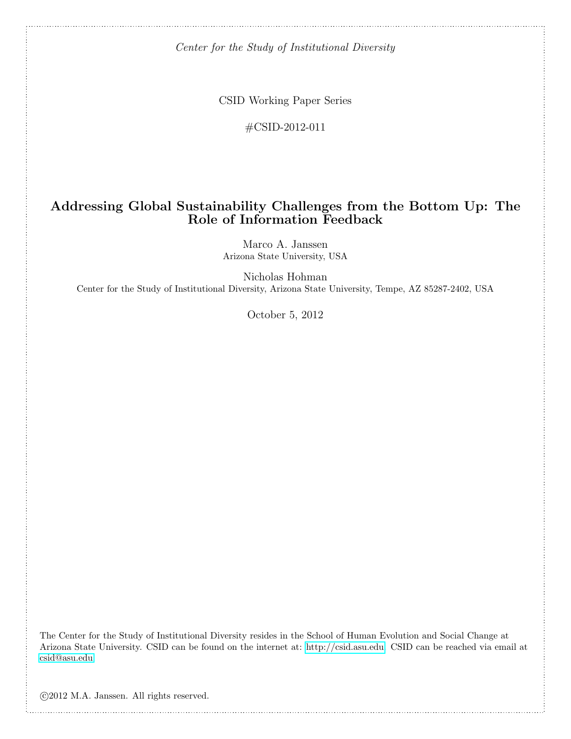Center for the Study of Institutional Diversity

CSID Working Paper Series

#CSID-2012-011

# Addressing Global Sustainability Challenges from the Bottom Up: The Role of Information Feedback

Marco A. Janssen Arizona State University, USA

Nicholas Hohman Center for the Study of Institutional Diversity, Arizona State University, Tempe, AZ 85287-2402, USA

October 5, 2012

The Center for the Study of Institutional Diversity resides in the School of Human Evolution and Social Change at Arizona State University. CSID can be found on the internet at: [http://csid.asu.edu.](http://csid.asu.edu) CSID can be reached via email at [csid@asu.edu.](mailto:csid@asu.edu)

c 2012 M.A. Janssen. All rights reserved.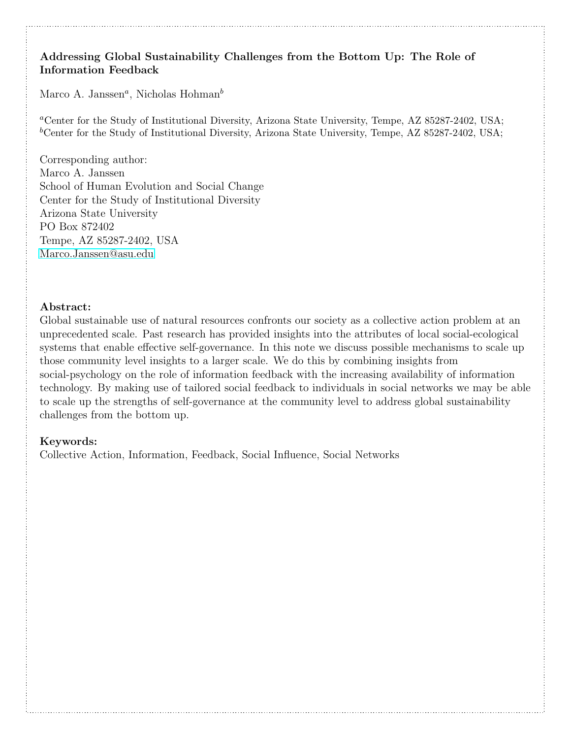## Addressing Global Sustainability Challenges from the Bottom Up: The Role of Information Feedback

Marco A. Janssen<sup>a</sup>, Nicholas Hohman<sup>b</sup>

<sup>a</sup>Center for the Study of Institutional Diversity, Arizona State University, Tempe, AZ 85287-2402, USA; <sup>b</sup>Center for the Study of Institutional Diversity, Arizona State University, Tempe, AZ 85287-2402, USA;

Corresponding author: Marco A. Janssen School of Human Evolution and Social Change Center for the Study of Institutional Diversity Arizona State University PO Box 872402 Tempe, AZ 85287-2402, USA [Marco.Janssen@asu.edu](mailto:Marco.Janssen@asu.edu)

### Abstract:

Global sustainable use of natural resources confronts our society as a collective action problem at an unprecedented scale. Past research has provided insights into the attributes of local social-ecological systems that enable effective self-governance. In this note we discuss possible mechanisms to scale up those community level insights to a larger scale. We do this by combining insights from social-psychology on the role of information feedback with the increasing availability of information technology. By making use of tailored social feedback to individuals in social networks we may be able to scale up the strengths of self-governance at the community level to address global sustainability challenges from the bottom up.

## Keywords:

Collective Action, Information, Feedback, Social Influence, Social Networks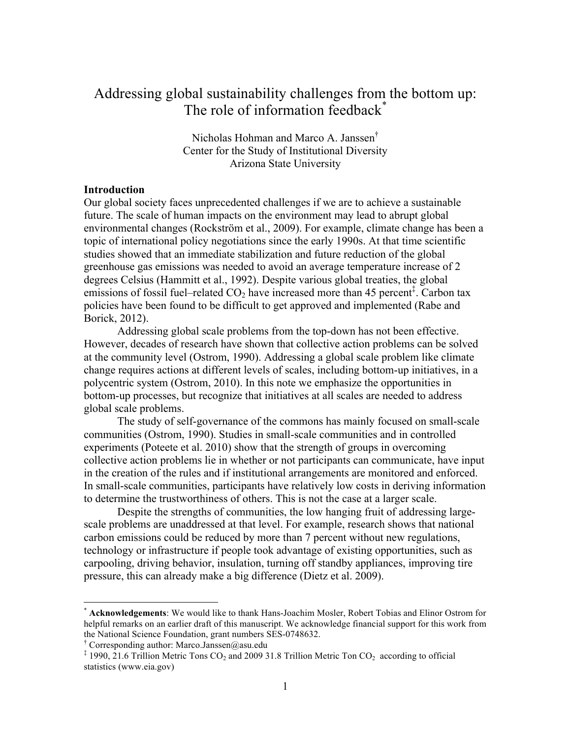# Addressing global sustainability challenges from the bottom up: The role of information feedback<sup>\*</sup>

Nicholas Hohman and Marco A. Janssen† Center for the Study of Institutional Diversity Arizona State University

#### **Introduction**

Our global society faces unprecedented challenges if we are to achieve a sustainable future. The scale of human impacts on the environment may lead to abrupt global environmental changes (Rockström et al., 2009). For example, climate change has been a topic of international policy negotiations since the early 1990s. At that time scientific studies showed that an immediate stabilization and future reduction of the global greenhouse gas emissions was needed to avoid an average temperature increase of 2 degrees Celsius (Hammitt et al., 1992). Despite various global treaties, the global emissions of fossil fuel–related  $CO<sub>2</sub>$  have increased more than 45 percent<sup>‡</sup>. Carbon tax policies have been found to be difficult to get approved and implemented (Rabe and Borick, 2012).

Addressing global scale problems from the top-down has not been effective. However, decades of research have shown that collective action problems can be solved at the community level (Ostrom, 1990). Addressing a global scale problem like climate change requires actions at different levels of scales, including bottom-up initiatives, in a polycentric system (Ostrom, 2010). In this note we emphasize the opportunities in bottom-up processes, but recognize that initiatives at all scales are needed to address global scale problems.

The study of self-governance of the commons has mainly focused on small-scale communities (Ostrom, 1990). Studies in small-scale communities and in controlled experiments (Poteete et al. 2010) show that the strength of groups in overcoming collective action problems lie in whether or not participants can communicate, have input in the creation of the rules and if institutional arrangements are monitored and enforced. In small-scale communities, participants have relatively low costs in deriving information to determine the trustworthiness of others. This is not the case at a larger scale.

Despite the strengths of communities, the low hanging fruit of addressing largescale problems are unaddressed at that level. For example, research shows that national carbon emissions could be reduced by more than 7 percent without new regulations, technology or infrastructure if people took advantage of existing opportunities, such as carpooling, driving behavior, insulation, turning off standby appliances, improving tire pressure, this can already make a big difference (Dietz et al. 2009).

 <sup>\*</sup> **Acknowledgements**: We would like to thank Hans-Joachim Mosler, Robert Tobias and Elinor Ostrom for helpful remarks on an earlier draft of this manuscript. We acknowledge financial support for this work from the National Science Foundation, grant numbers SES-0748632.

<sup>&</sup>lt;sup>†</sup> Corresponding author: Marco.Janssen@asu.edu

 $\frac{1}{2}$  1990, 21.6 Trillion Metric Tons CO<sub>2</sub> and 2009 31.8 Trillion Metric Ton CO<sub>2</sub> according to official statistics (www.eia.gov)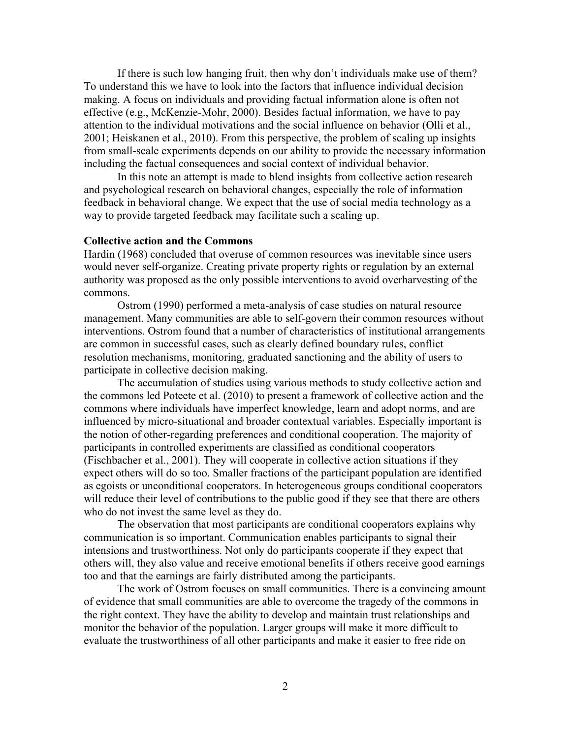If there is such low hanging fruit, then why don't individuals make use of them? To understand this we have to look into the factors that influence individual decision making. A focus on individuals and providing factual information alone is often not effective (e.g., McKenzie-Mohr, 2000). Besides factual information, we have to pay attention to the individual motivations and the social influence on behavior (Olli et al., 2001; Heiskanen et al., 2010). From this perspective, the problem of scaling up insights from small-scale experiments depends on our ability to provide the necessary information including the factual consequences and social context of individual behavior.

In this note an attempt is made to blend insights from collective action research and psychological research on behavioral changes, especially the role of information feedback in behavioral change. We expect that the use of social media technology as a way to provide targeted feedback may facilitate such a scaling up.

#### **Collective action and the Commons**

Hardin (1968) concluded that overuse of common resources was inevitable since users would never self-organize. Creating private property rights or regulation by an external authority was proposed as the only possible interventions to avoid overharvesting of the commons.

Ostrom (1990) performed a meta-analysis of case studies on natural resource management. Many communities are able to self-govern their common resources without interventions. Ostrom found that a number of characteristics of institutional arrangements are common in successful cases, such as clearly defined boundary rules, conflict resolution mechanisms, monitoring, graduated sanctioning and the ability of users to participate in collective decision making.

The accumulation of studies using various methods to study collective action and the commons led Poteete et al. (2010) to present a framework of collective action and the commons where individuals have imperfect knowledge, learn and adopt norms, and are influenced by micro-situational and broader contextual variables. Especially important is the notion of other-regarding preferences and conditional cooperation. The majority of participants in controlled experiments are classified as conditional cooperators (Fischbacher et al., 2001). They will cooperate in collective action situations if they expect others will do so too. Smaller fractions of the participant population are identified as egoists or unconditional cooperators. In heterogeneous groups conditional cooperators will reduce their level of contributions to the public good if they see that there are others who do not invest the same level as they do.

The observation that most participants are conditional cooperators explains why communication is so important. Communication enables participants to signal their intensions and trustworthiness. Not only do participants cooperate if they expect that others will, they also value and receive emotional benefits if others receive good earnings too and that the earnings are fairly distributed among the participants.

The work of Ostrom focuses on small communities. There is a convincing amount of evidence that small communities are able to overcome the tragedy of the commons in the right context. They have the ability to develop and maintain trust relationships and monitor the behavior of the population. Larger groups will make it more difficult to evaluate the trustworthiness of all other participants and make it easier to free ride on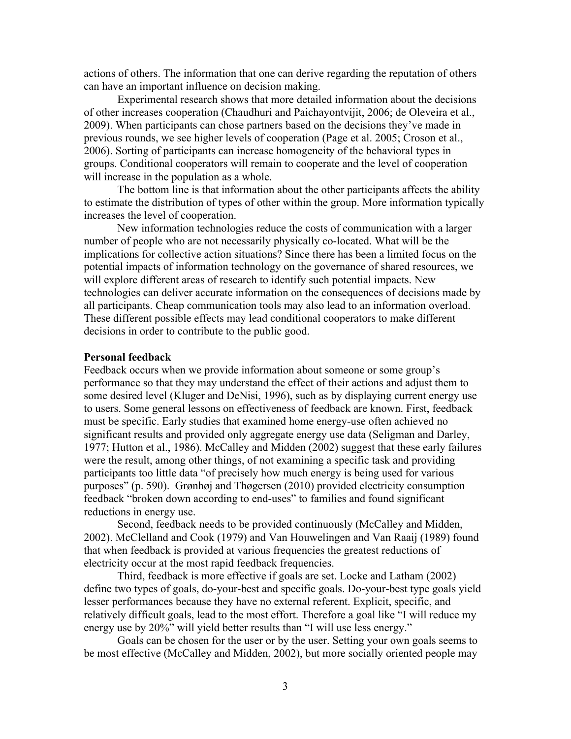actions of others. The information that one can derive regarding the reputation of others can have an important influence on decision making.

Experimental research shows that more detailed information about the decisions of other increases cooperation (Chaudhuri and Paichayontvijit, 2006; de Oleveira et al., 2009). When participants can chose partners based on the decisions they've made in previous rounds, we see higher levels of cooperation (Page et al. 2005; Croson et al., 2006). Sorting of participants can increase homogeneity of the behavioral types in groups. Conditional cooperators will remain to cooperate and the level of cooperation will increase in the population as a whole.

The bottom line is that information about the other participants affects the ability to estimate the distribution of types of other within the group. More information typically increases the level of cooperation.

New information technologies reduce the costs of communication with a larger number of people who are not necessarily physically co-located. What will be the implications for collective action situations? Since there has been a limited focus on the potential impacts of information technology on the governance of shared resources, we will explore different areas of research to identify such potential impacts. New technologies can deliver accurate information on the consequences of decisions made by all participants. Cheap communication tools may also lead to an information overload. These different possible effects may lead conditional cooperators to make different decisions in order to contribute to the public good.

#### **Personal feedback**

Feedback occurs when we provide information about someone or some group's performance so that they may understand the effect of their actions and adjust them to some desired level (Kluger and DeNisi, 1996), such as by displaying current energy use to users. Some general lessons on effectiveness of feedback are known. First, feedback must be specific. Early studies that examined home energy-use often achieved no significant results and provided only aggregate energy use data (Seligman and Darley, 1977; Hutton et al., 1986). McCalley and Midden (2002) suggest that these early failures were the result, among other things, of not examining a specific task and providing participants too little data "of precisely how much energy is being used for various purposes" (p. 590). Grønhøj and Thøgersen (2010) provided electricity consumption feedback "broken down according to end-uses" to families and found significant reductions in energy use.

Second, feedback needs to be provided continuously (McCalley and Midden, 2002). McClelland and Cook (1979) and Van Houwelingen and Van Raaij (1989) found that when feedback is provided at various frequencies the greatest reductions of electricity occur at the most rapid feedback frequencies.

Third, feedback is more effective if goals are set. Locke and Latham (2002) define two types of goals, do-your-best and specific goals. Do-your-best type goals yield lesser performances because they have no external referent. Explicit, specific, and relatively difficult goals, lead to the most effort. Therefore a goal like "I will reduce my energy use by 20%" will yield better results than "I will use less energy."

Goals can be chosen for the user or by the user. Setting your own goals seems to be most effective (McCalley and Midden, 2002), but more socially oriented people may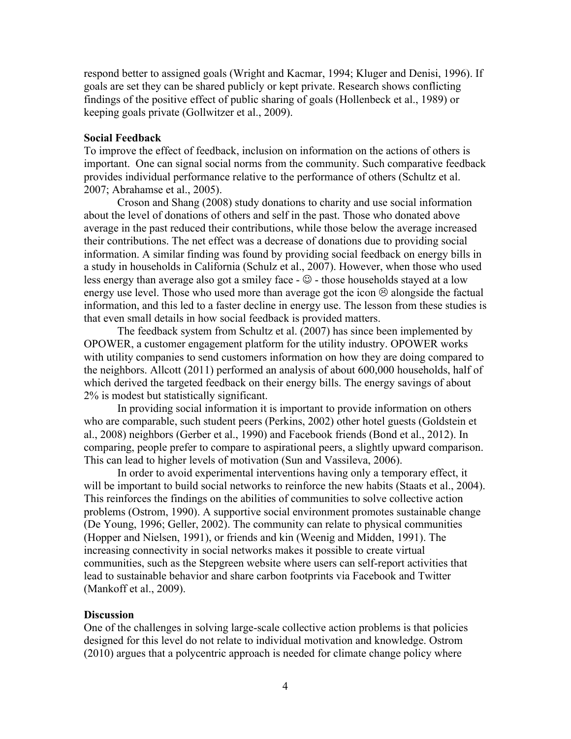respond better to assigned goals (Wright and Kacmar, 1994; Kluger and Denisi, 1996). If goals are set they can be shared publicly or kept private. Research shows conflicting findings of the positive effect of public sharing of goals (Hollenbeck et al., 1989) or keeping goals private (Gollwitzer et al., 2009).

#### **Social Feedback**

To improve the effect of feedback, inclusion on information on the actions of others is important. One can signal social norms from the community. Such comparative feedback provides individual performance relative to the performance of others (Schultz et al. 2007; Abrahamse et al., 2005).

Croson and Shang (2008) study donations to charity and use social information about the level of donations of others and self in the past. Those who donated above average in the past reduced their contributions, while those below the average increased their contributions. The net effect was a decrease of donations due to providing social information. A similar finding was found by providing social feedback on energy bills in a study in households in California (Schulz et al., 2007). However, when those who used less energy than average also got a smiley face  $-\mathbb{O}$  - those households stayed at a low energy use level. Those who used more than average got the icon  $\odot$  alongside the factual information, and this led to a faster decline in energy use. The lesson from these studies is that even small details in how social feedback is provided matters.

The feedback system from Schultz et al. (2007) has since been implemented by OPOWER, a customer engagement platform for the utility industry. OPOWER works with utility companies to send customers information on how they are doing compared to the neighbors. Allcott (2011) performed an analysis of about 600,000 households, half of which derived the targeted feedback on their energy bills. The energy savings of about 2% is modest but statistically significant.

In providing social information it is important to provide information on others who are comparable, such student peers (Perkins, 2002) other hotel guests (Goldstein et al., 2008) neighbors (Gerber et al., 1990) and Facebook friends (Bond et al., 2012). In comparing, people prefer to compare to aspirational peers, a slightly upward comparison. This can lead to higher levels of motivation (Sun and Vassileva, 2006).

In order to avoid experimental interventions having only a temporary effect, it will be important to build social networks to reinforce the new habits (Staats et al., 2004). This reinforces the findings on the abilities of communities to solve collective action problems (Ostrom, 1990). A supportive social environment promotes sustainable change (De Young, 1996; Geller, 2002). The community can relate to physical communities (Hopper and Nielsen, 1991), or friends and kin (Weenig and Midden, 1991). The increasing connectivity in social networks makes it possible to create virtual communities, such as the Stepgreen website where users can self-report activities that lead to sustainable behavior and share carbon footprints via Facebook and Twitter (Mankoff et al., 2009).

#### **Discussion**

One of the challenges in solving large-scale collective action problems is that policies designed for this level do not relate to individual motivation and knowledge. Ostrom (2010) argues that a polycentric approach is needed for climate change policy where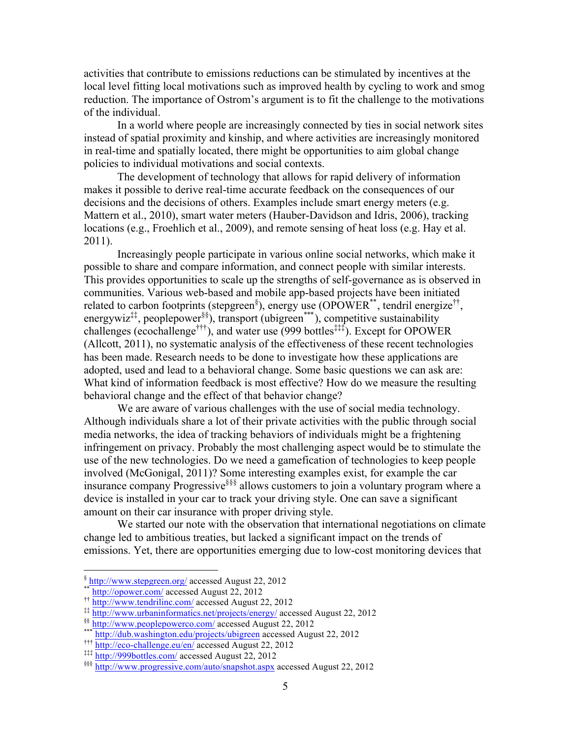activities that contribute to emissions reductions can be stimulated by incentives at the local level fitting local motivations such as improved health by cycling to work and smog reduction. The importance of Ostrom's argument is to fit the challenge to the motivations of the individual.

In a world where people are increasingly connected by ties in social network sites instead of spatial proximity and kinship, and where activities are increasingly monitored in real-time and spatially located, there might be opportunities to aim global change policies to individual motivations and social contexts.

The development of technology that allows for rapid delivery of information makes it possible to derive real-time accurate feedback on the consequences of our decisions and the decisions of others. Examples include smart energy meters (e.g. Mattern et al., 2010), smart water meters (Hauber-Davidson and Idris, 2006), tracking locations (e.g., Froehlich et al., 2009), and remote sensing of heat loss (e.g. Hay et al. 2011).

Increasingly people participate in various online social networks, which make it possible to share and compare information, and connect people with similar interests. This provides opportunities to scale up the strengths of self-governance as is observed in communities. Various web-based and mobile app-based projects have been initiated related to carbon footprints (stepgreen<sup>§</sup>), energy use (OPOWER<sup>\*\*</sup>, tendril energize<sup>††</sup>, energywiz<sup>‡‡</sup>, peoplepower<sup>§§</sup>), transport (ubigreen<sup>\*\*\*</sup>), competitive sustainability challenges (ecochallenge<sup>†††</sup>), and water use (999 bottles<sup> $\ddagger\ddagger\ddagger$ </sup>). Except for OPOWER (Allcott, 2011), no systematic analysis of the effectiveness of these recent technologies has been made. Research needs to be done to investigate how these applications are adopted, used and lead to a behavioral change. Some basic questions we can ask are: What kind of information feedback is most effective? How do we measure the resulting behavioral change and the effect of that behavior change?

We are aware of various challenges with the use of social media technology. Although individuals share a lot of their private activities with the public through social media networks, the idea of tracking behaviors of individuals might be a frightening infringement on privacy. Probably the most challenging aspect would be to stimulate the use of the new technologies. Do we need a gamefication of technologies to keep people involved (McGonigal, 2011)? Some interesting examples exist, for example the car insurance company Progressive§§§ allows customers to join a voluntary program where a device is installed in your car to track your driving style. One can save a significant amount on their car insurance with proper driving style.

We started our note with the observation that international negotiations on climate change led to ambitious treaties, but lacked a significant impact on the trends of emissions. Yet, there are opportunities emerging due to low-cost monitoring devices that

 $\frac{\$ \text{http://www.stepgreen.org/} \text{accessed August 22, 2012}}{\text{http://power.com/ accessed August 22, 2012}}$ 

<sup>††</sup> http://www.tendrilinc.com/ accessed August 22, 2012

<sup>&</sup>lt;sup>##</sup> http://www.urbaninformatics.net/projects/energy/ accessed August 22, 2012

<sup>§§</sup> http://www.peoplepowerco.com/ accessed August 22, 2012 \*\*\* http://dub.washington.edu/projects/ubigreen accessed August 22, 2012

<sup>†††</sup> http://eco-challenge.eu/en/ accessed August 22, 2012

<sup>‡‡‡</sup> http://999bottles.com/ accessed August 22, 2012

<sup>§§§</sup> http://www.progressive.com/auto/snapshot.aspx accessed August 22, 2012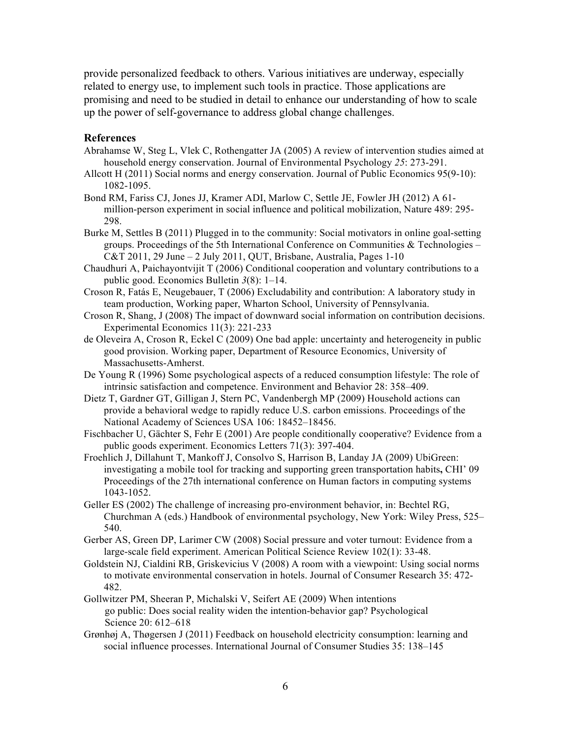provide personalized feedback to others. Various initiatives are underway, especially related to energy use, to implement such tools in practice. Those applications are promising and need to be studied in detail to enhance our understanding of how to scale up the power of self-governance to address global change challenges.

#### **References**

- Abrahamse W, Steg L, Vlek C, Rothengatter JA (2005) A review of intervention studies aimed at household energy conservation. Journal of Environmental Psychology *25*: 273-291.
- Allcott H (2011) Social norms and energy conservation. Journal of Public Economics 95(9-10): 1082-1095.
- Bond RM, Fariss CJ, Jones JJ, Kramer ADI, Marlow C, Settle JE, Fowler JH (2012) A 61 million-person experiment in social influence and political mobilization, Nature 489: 295- 298.
- Burke M, Settles B (2011) Plugged in to the community: Social motivators in online goal-setting groups. Proceedings of the 5th International Conference on Communities  $\&$  Technologies – C&T 2011, 29 June – 2 July 2011, QUT, Brisbane, Australia, Pages 1-10
- Chaudhuri A, Paichayontvijit T (2006) Conditional cooperation and voluntary contributions to a public good. Economics Bulletin *3*(8): 1–14.
- Croson R, Fatás E, Neugebauer, T (2006) Excludability and contribution: A laboratory study in team production, Working paper, Wharton School, University of Pennsylvania.
- Croson R, Shang, J (2008) The impact of downward social information on contribution decisions. Experimental Economics 11(3): 221-233
- de Oleveira A, Croson R, Eckel C (2009) One bad apple: uncertainty and heterogeneity in public good provision. Working paper, Department of Resource Economics, University of Massachusetts-Amherst.
- De Young R (1996) Some psychological aspects of a reduced consumption lifestyle: The role of intrinsic satisfaction and competence. Environment and Behavior 28: 358–409.
- Dietz T, Gardner GT, Gilligan J, Stern PC, Vandenbergh MP (2009) Household actions can provide a behavioral wedge to rapidly reduce U.S. carbon emissions. Proceedings of the National Academy of Sciences USA 106: 18452–18456.
- Fischbacher U, Gächter S, Fehr E (2001) Are people conditionally cooperative? Evidence from a public goods experiment. Economics Letters 71(3): 397-404.
- Froehlich J, Dillahunt T, Mankoff J, Consolvo S, Harrison B, Landay JA (2009) UbiGreen: investigating a mobile tool for tracking and supporting green transportation habits**,** CHI' 09 Proceedings of the 27th international conference on Human factors in computing systems 1043-1052.
- Geller ES (2002) The challenge of increasing pro-environment behavior, in: Bechtel RG, Churchman A (eds.) Handbook of environmental psychology, New York: Wiley Press, 525– 540.
- Gerber AS, Green DP, Larimer CW (2008) Social pressure and voter turnout: Evidence from a large-scale field experiment. American Political Science Review 102(1): 33-48.
- Goldstein NJ, Cialdini RB, Griskevicius V (2008) A room with a viewpoint: Using social norms to motivate environmental conservation in hotels. Journal of Consumer Research 35: 472- 482.
- Gollwitzer PM, Sheeran P, Michalski V, Seifert AE (2009) When intentions go public: Does social reality widen the intention-behavior gap? Psychological Science 20: 612–618
- Grønhøj A, Thøgersen J (2011) Feedback on household electricity consumption: learning and social influence processes. International Journal of Consumer Studies 35: 138–145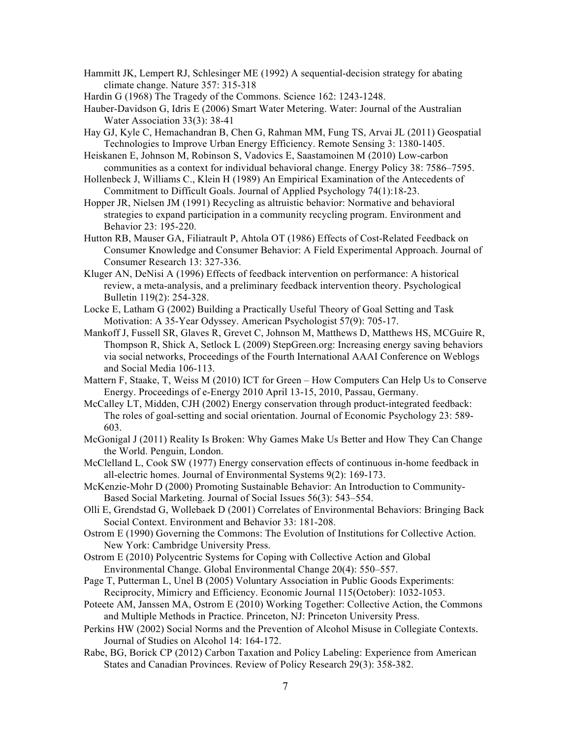Hammitt JK, Lempert RJ, Schlesinger ME (1992) A sequential-decision strategy for abating climate change. Nature 357: 315-318

Hardin G (1968) The Tragedy of the Commons. Science 162: 1243-1248.

- Hauber-Davidson G, Idris E (2006) Smart Water Metering. Water: Journal of the Australian Water Association 33(3): 38-41
- Hay GJ, Kyle C, Hemachandran B, Chen G, Rahman MM, Fung TS, Arvai JL (2011) Geospatial Technologies to Improve Urban Energy Efficiency. Remote Sensing 3: 1380-1405.

Heiskanen E, Johnson M, Robinson S, Vadovics E, Saastamoinen M (2010) Low-carbon communities as a context for individual behavioral change. Energy Policy 38: 7586–7595.

- Hollenbeck J, Williams C., Klein H (1989) An Empirical Examination of the Antecedents of Commitment to Difficult Goals. Journal of Applied Psychology 74(1):18-23.
- Hopper JR, Nielsen JM (1991) Recycling as altruistic behavior: Normative and behavioral strategies to expand participation in a community recycling program. Environment and Behavior 23: 195-220.
- Hutton RB, Mauser GA, Filiatrault P, Ahtola OT (1986) Effects of Cost-Related Feedback on Consumer Knowledge and Consumer Behavior: A Field Experimental Approach. Journal of Consumer Research 13: 327-336.
- Kluger AN, DeNisi A (1996) Effects of feedback intervention on performance: A historical review, a meta-analysis, and a preliminary feedback intervention theory. Psychological Bulletin 119(2): 254-328.
- Locke E, Latham G (2002) Building a Practically Useful Theory of Goal Setting and Task Motivation: A 35-Year Odyssey. American Psychologist 57(9): 705-17.
- Mankoff J, Fussell SR, Glaves R, Grevet C, Johnson M, Matthews D, Matthews HS, MCGuire R, Thompson R, Shick A, Setlock L (2009) StepGreen.org: Increasing energy saving behaviors via social networks, Proceedings of the Fourth International AAAI Conference on Weblogs and Social Media 106-113.
- Mattern F, Staake, T, Weiss M (2010) ICT for Green How Computers Can Help Us to Conserve Energy. Proceedings of e-Energy 2010 April 13-15, 2010, Passau, Germany.
- McCalley LT, Midden, CJH (2002) Energy conservation through product-integrated feedback: The roles of goal-setting and social orientation. Journal of Economic Psychology 23: 589- 603.
- McGonigal J (2011) Reality Is Broken: Why Games Make Us Better and How They Can Change the World. Penguin, London.
- McClelland L, Cook SW (1977) Energy conservation effects of continuous in-home feedback in all-electric homes. Journal of Environmental Systems 9(2): 169-173.
- McKenzie-Mohr D (2000) Promoting Sustainable Behavior: An Introduction to Community-Based Social Marketing. Journal of Social Issues 56(3): 543–554.
- Olli E, Grendstad G, Wollebaek D (2001) Correlates of Environmental Behaviors: Bringing Back Social Context. Environment and Behavior 33: 181-208.
- Ostrom E (1990) Governing the Commons: The Evolution of Institutions for Collective Action. New York: Cambridge University Press.
- Ostrom E (2010) Polycentric Systems for Coping with Collective Action and Global Environmental Change. Global Environmental Change 20(4): 550–557.
- Page T, Putterman L, Unel B (2005) Voluntary Association in Public Goods Experiments: Reciprocity, Mimicry and Efficiency. Economic Journal 115(October): 1032-1053.
- Poteete AM, Janssen MA, Ostrom E (2010) Working Together: Collective Action, the Commons and Multiple Methods in Practice. Princeton, NJ: Princeton University Press.
- Perkins HW (2002) Social Norms and the Prevention of Alcohol Misuse in Collegiate Contexts. Journal of Studies on Alcohol 14: 164-172.
- Rabe, BG, Borick CP (2012) Carbon Taxation and Policy Labeling: Experience from American States and Canadian Provinces. Review of Policy Research 29(3): 358-382.